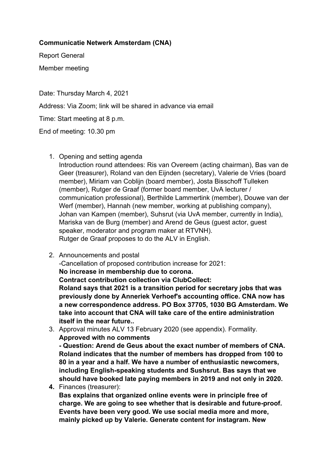## **Communicatie Netwerk Amsterdam (CNA)**

Report General Member meeting

Date: Thursday March 4, 2021 Address: Via Zoom; link will be shared in advance via email Time: Start meeting at 8 p.m. End of meeting: 10.30 pm

1. Opening and setting agenda

Introduction round attendees: Ris van Overeem (acting chairman), Bas van de Geer (treasurer), Roland van den Eijnden (secretary), Valerie de Vries (board member), Miriam van Coblijn (board member), Josta Bisschoff Tulleken (member), Rutger de Graaf (former board member, UvA lecturer / communication professional), Berthilde Lammertink (member), Douwe van der Werf (member), Hannah (new member, working at publishing company), Johan van Kampen (member), Suhsrut (via UvA member, currently in India), Mariska van de Burg (member) and Arend de Geus (guest actor, guest speaker, moderator and program maker at RTVNH). Rutger de Graaf proposes to do the ALV in English.

- 2. Announcements and postal -Cancellation of proposed contribution increase for 2021: **No increase in membership due to corona. Contract contribution collection via ClubCollect: Roland says that 2021 is a transition period for secretary jobs that was previously done by Anneriek Verhoef's accounting office. CNA now has a new correspondence address. PO Box 37705, 1030 BG Amsterdam. We take into account that CNA will take care of the entire administration itself in the near future..**
- 3. Approval minutes ALV 13 February 2020 (see appendix). Formality. **Approved with no comments**

**- Question: Arend de Geus about the exact number of members of CNA. Roland indicates that the number of members has dropped from 100 to 80 in a year and a half. We have a number of enthusiastic newcomers, including English-speaking students and Sushsrut. Bas says that we should have booked late paying members in 2019 and not only in 2020.** 

**4.** Finances (treasurer):

**Bas explains that organized online events were in principle free of charge. We are going to see whether that is desirable and future-proof. Events have been very good. We use social media more and more, mainly picked up by Valerie. Generate content for instagram. New**